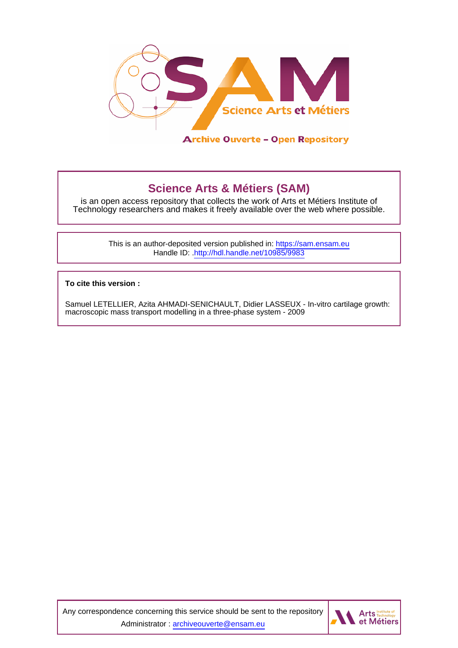

## **Science Arts & Métiers (SAM)**

is an open access repository that collects the work of Arts et Métiers Institute of Technology researchers and makes it freely available over the web where possible.

> This is an author-deposited version published in:<https://sam.ensam.eu> Handle ID: [.http://hdl.handle.net/10985/9983](http://hdl.handle.net/10985/9983)

**To cite this version :**

Samuel LETELLIER, Azita AHMADI-SENICHAULT, Didier LASSEUX - In-vitro cartilage growth: macroscopic mass transport modelling in a three-phase system - 2009

Any correspondence concerning this service should be sent to the repository Administrator : [archiveouverte@ensam.eu](mailto:archiveouverte@ensam.eu)